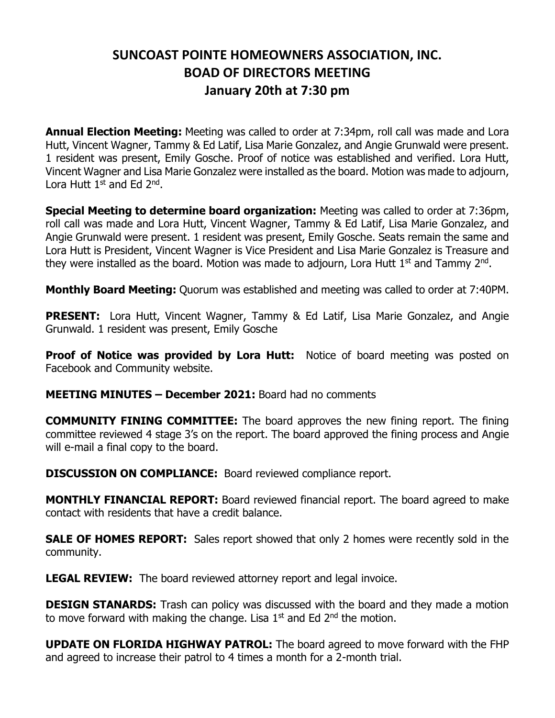## **SUNCOAST POINTE HOMEOWNERS ASSOCIATION, INC. BOAD OF DIRECTORS MEETING January 20th at 7:30 pm**

**Annual Election Meeting:** Meeting was called to order at 7:34pm, roll call was made and Lora Hutt, Vincent Wagner, Tammy & Ed Latif, Lisa Marie Gonzalez, and Angie Grunwald were present. 1 resident was present, Emily Gosche. Proof of notice was established and verified. Lora Hutt, Vincent Wagner and Lisa Marie Gonzalez were installed as the board. Motion was made to adjourn, Lora Hutt 1<sup>st</sup> and Ed 2<sup>nd</sup>.

**Special Meeting to determine board organization:** Meeting was called to order at 7:36pm, roll call was made and Lora Hutt, Vincent Wagner, Tammy & Ed Latif, Lisa Marie Gonzalez, and Angie Grunwald were present. 1 resident was present, Emily Gosche. Seats remain the same and Lora Hutt is President, Vincent Wagner is Vice President and Lisa Marie Gonzalez is Treasure and they were installed as the board. Motion was made to adjourn, Lora Hutt 1<sup>st</sup> and Tammy 2<sup>nd</sup>.

**Monthly Board Meeting:** Quorum was established and meeting was called to order at 7:40PM.

**PRESENT:** Lora Hutt, Vincent Wagner, Tammy & Ed Latif, Lisa Marie Gonzalez, and Angie Grunwald. 1 resident was present, Emily Gosche

**Proof of Notice was provided by Lora Hutt:** Notice of board meeting was posted on Facebook and Community website.

**MEETING MINUTES – December 2021:** Board had no comments

**COMMUNITY FINING COMMITTEE:** The board approves the new fining report. The fining committee reviewed 4 stage 3's on the report. The board approved the fining process and Angie will e-mail a final copy to the board.

**DISCUSSION ON COMPLIANCE:** Board reviewed compliance report.

**MONTHLY FINANCIAL REPORT:** Board reviewed financial report. The board agreed to make contact with residents that have a credit balance.

**SALE OF HOMES REPORT:** Sales report showed that only 2 homes were recently sold in the community.

**LEGAL REVIEW:** The board reviewed attorney report and legal invoice.

**DESIGN STANARDS:** Trash can policy was discussed with the board and they made a motion to move forward with making the change. Lisa  $1<sup>st</sup>$  and Ed  $2<sup>nd</sup>$  the motion.

**UPDATE ON FLORIDA HIGHWAY PATROL:** The board agreed to move forward with the FHP and agreed to increase their patrol to 4 times a month for a 2-month trial.